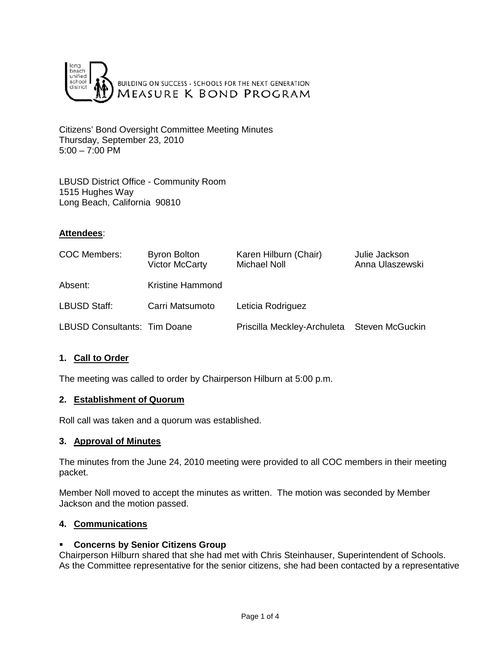

Citizens' Bond Oversight Committee Meeting Minutes Thursday, September 23, 2010 5:00 – 7:00 PM

LBUSD District Office - Community Room 1515 Hughes Way Long Beach, California 90810

## **Attendees**:

| <b>COC Members:</b>                 | <b>Byron Bolton</b><br><b>Victor McCarty</b> | Karen Hilburn (Chair)<br><b>Michael Noll</b> | Julie Jackson<br>Anna Ulaszewski |
|-------------------------------------|----------------------------------------------|----------------------------------------------|----------------------------------|
| Absent:                             | Kristine Hammond                             |                                              |                                  |
| LBUSD Staff:                        | Carri Matsumoto                              | Leticia Rodriguez                            |                                  |
| <b>LBUSD Consultants: Tim Doane</b> |                                              | Priscilla Meckley-Archuleta Steven McGuckin  |                                  |

## **1. Call to Order**

The meeting was called to order by Chairperson Hilburn at 5:00 p.m.

### **2. Establishment of Quorum**

Roll call was taken and a quorum was established.

### **3. Approval of Minutes**

The minutes from the June 24, 2010 meeting were provided to all COC members in their meeting packet.

Member Noll moved to accept the minutes as written. The motion was seconded by Member Jackson and the motion passed.

### **4. Communications**

### **Concerns by Senior Citizens Group**

Chairperson Hilburn shared that she had met with Chris Steinhauser, Superintendent of Schools. As the Committee representative for the senior citizens, she had been contacted by a representative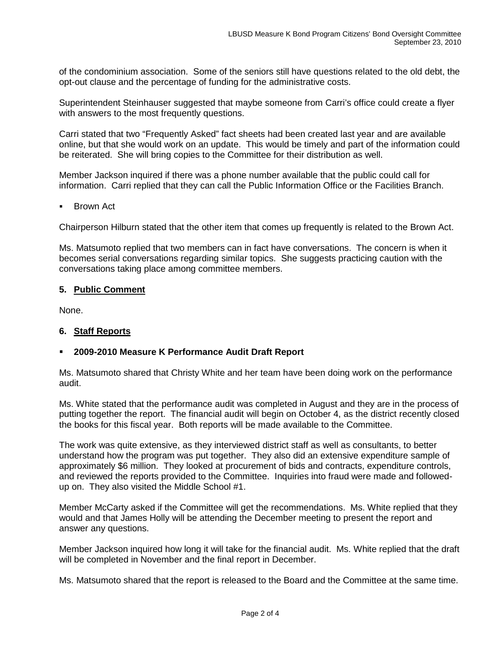of the condominium association. Some of the seniors still have questions related to the old debt, the opt-out clause and the percentage of funding for the administrative costs.

Superintendent Steinhauser suggested that maybe someone from Carri's office could create a flyer with answers to the most frequently questions.

Carri stated that two "Frequently Asked" fact sheets had been created last year and are available online, but that she would work on an update. This would be timely and part of the information could be reiterated. She will bring copies to the Committee for their distribution as well.

Member Jackson inquired if there was a phone number available that the public could call for information. Carri replied that they can call the Public Information Office or the Facilities Branch.

Brown Act

Chairperson Hilburn stated that the other item that comes up frequently is related to the Brown Act.

Ms. Matsumoto replied that two members can in fact have conversations. The concern is when it becomes serial conversations regarding similar topics. She suggests practicing caution with the conversations taking place among committee members.

## **5. Public Comment**

None.

## **6. Staff Reports**

### **2009-2010 Measure K Performance Audit Draft Report**

Ms. Matsumoto shared that Christy White and her team have been doing work on the performance audit.

Ms. White stated that the performance audit was completed in August and they are in the process of putting together the report. The financial audit will begin on October 4, as the district recently closed the books for this fiscal year. Both reports will be made available to the Committee.

The work was quite extensive, as they interviewed district staff as well as consultants, to better understand how the program was put together. They also did an extensive expenditure sample of approximately \$6 million. They looked at procurement of bids and contracts, expenditure controls, and reviewed the reports provided to the Committee. Inquiries into fraud were made and followedup on. They also visited the Middle School #1.

Member McCarty asked if the Committee will get the recommendations. Ms. White replied that they would and that James Holly will be attending the December meeting to present the report and answer any questions.

Member Jackson inquired how long it will take for the financial audit. Ms. White replied that the draft will be completed in November and the final report in December.

Ms. Matsumoto shared that the report is released to the Board and the Committee at the same time.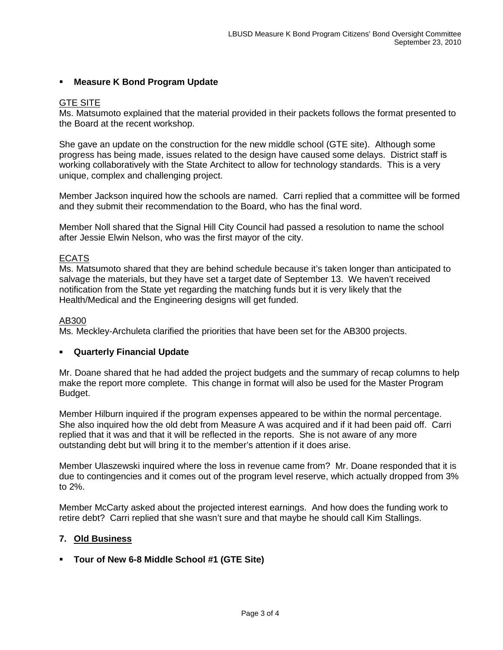# **Measure K Bond Program Update**

## GTE SITE

Ms. Matsumoto explained that the material provided in their packets follows the format presented to the Board at the recent workshop.

She gave an update on the construction for the new middle school (GTE site). Although some progress has being made, issues related to the design have caused some delays. District staff is working collaboratively with the State Architect to allow for technology standards. This is a very unique, complex and challenging project.

Member Jackson inquired how the schools are named. Carri replied that a committee will be formed and they submit their recommendation to the Board, who has the final word.

Member Noll shared that the Signal Hill City Council had passed a resolution to name the school after Jessie Elwin Nelson, who was the first mayor of the city.

## ECATS

Ms. Matsumoto shared that they are behind schedule because it's taken longer than anticipated to salvage the materials, but they have set a target date of September 13. We haven't received notification from the State yet regarding the matching funds but it is very likely that the Health/Medical and the Engineering designs will get funded.

#### AB300

Ms. Meckley-Archuleta clarified the priorities that have been set for the AB300 projects.

### **Quarterly Financial Update**

Mr. Doane shared that he had added the project budgets and the summary of recap columns to help make the report more complete. This change in format will also be used for the Master Program Budget.

Member Hilburn inquired if the program expenses appeared to be within the normal percentage. She also inquired how the old debt from Measure A was acquired and if it had been paid off. Carri replied that it was and that it will be reflected in the reports. She is not aware of any more outstanding debt but will bring it to the member's attention if it does arise.

Member Ulaszewski inquired where the loss in revenue came from? Mr. Doane responded that it is due to contingencies and it comes out of the program level reserve, which actually dropped from 3% to 2%.

Member McCarty asked about the projected interest earnings. And how does the funding work to retire debt? Carri replied that she wasn't sure and that maybe he should call Kim Stallings.

### **7. Old Business**

### **Tour of New 6-8 Middle School #1 (GTE Site)**